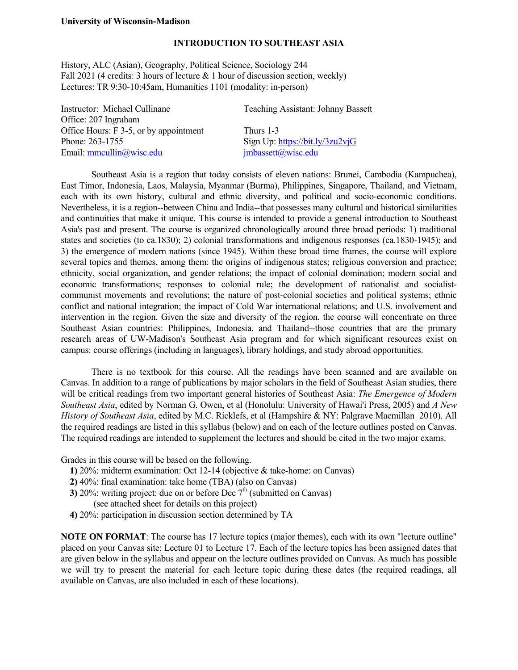#### **INTRODUCTION TO SOUTHEAST ASIA**

History, ALC (Asian), Geography, Political Science, Sociology 244 Fall 2021 (4 credits: 3 hours of lecture  $& 1$  hour of discussion section, weekly) Lectures: TR 9:30-10:45am, Humanities 1101 (modality: in-person)

| Instructor: Michael Cullinane          | <b>Teaching Assistant: Johnny Bassett</b> |
|----------------------------------------|-------------------------------------------|
| Office: 207 Ingraham                   |                                           |
| Office Hours: F 3-5, or by appointment | Thurs 1-3                                 |
| Phone: 263-1755                        | Sign Up: $\frac{https://bit.ly/3zu2vjG}{$ |
| Email: mmcullin@wisc.edu               | imbassett@wise.edu                        |
|                                        |                                           |

 Southeast Asia is a region that today consists of eleven nations: Brunei, Cambodia (Kampuchea), East Timor, Indonesia, Laos, Malaysia, Myanmar (Burma), Philippines, Singapore, Thailand, and Vietnam, each with its own history, cultural and ethnic diversity, and political and socio-economic conditions. Nevertheless, it is a region--between China and India--that possesses many cultural and historical similarities and continuities that make it unique. This course is intended to provide a general introduction to Southeast Asia's past and present. The course is organized chronologically around three broad periods: 1) traditional states and societies (to ca.1830); 2) colonial transformations and indigenous responses (ca.1830-1945); and 3) the emergence of modern nations (since 1945). Within these broad time frames, the course will explore several topics and themes, among them: the origins of indigenous states; religious conversion and practice; ethnicity, social organization, and gender relations; the impact of colonial domination; modern social and economic transformations; responses to colonial rule; the development of nationalist and socialistcommunist movements and revolutions; the nature of post-colonial societies and political systems; ethnic conflict and national integration; the impact of Cold War international relations; and U.S. involvement and intervention in the region. Given the size and diversity of the region, the course will concentrate on three Southeast Asian countries: Philippines, Indonesia, and Thailand--those countries that are the primary research areas of UW-Madison's Southeast Asia program and for which significant resources exist on campus: course offerings (including in languages), library holdings, and study abroad opportunities.

 There is no textbook for this course. All the readings have been scanned and are available on Canvas. In addition to a range of publications by major scholars in the field of Southeast Asian studies, there will be critical readings from two important general histories of Southeast Asia: *The Emergence of Modern Southeast Asia*, edited by Norman G. Owen, et al (Honolulu: University of Hawai'i Press, 2005) and *A New History of Southeast Asia*, edited by M.C. Ricklefs, et al (Hampshire & NY: Palgrave Macmillan 2010). All the required readings are listed in this syllabus (below) and on each of the lecture outlines posted on Canvas. The required readings are intended to supplement the lectures and should be cited in the two major exams.

Grades in this course will be based on the following.

- **1)** 20%: midterm examination: Oct 12-14 (objective & take-home: on Canvas)
- **2)** 40%: final examination: take home (TBA) (also on Canvas)
- **3)** 20%: writing project: due on or before Dec  $7<sup>th</sup>$  (submitted on Canvas) (see attached sheet for details on this project)
- **4)** 20%: participation in discussion section determined by TA

**NOTE ON FORMAT**: The course has 17 lecture topics (major themes), each with its own "lecture outline" placed on your Canvas site: Lecture 01 to Lecture 17. Each of the lecture topics has been assigned dates that are given below in the syllabus and appear on the lecture outlines provided on Canvas. As much has possible we will try to present the material for each lecture topic during these dates (the required readings, all available on Canvas, are also included in each of these locations).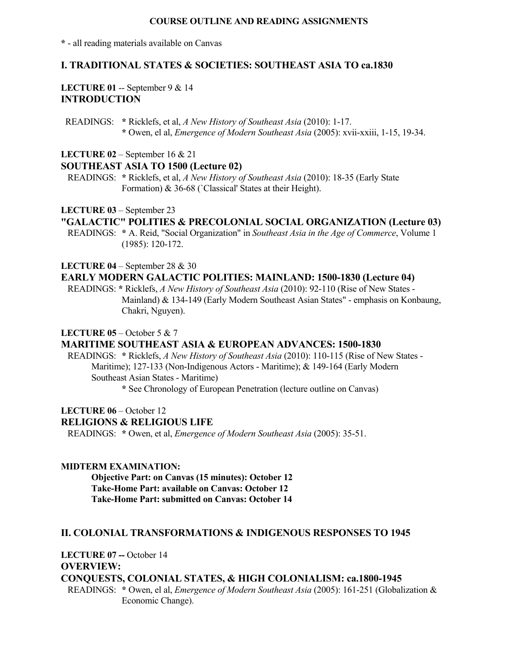### **COURSE OUTLINE AND READING ASSIGNMENTS**

**\*** - all reading materials available on Canvas

# **I. TRADITIONAL STATES & SOCIETIES: SOUTHEAST ASIA TO ca.1830**

### **LECTURE 01** -- September 9 & 14 **INTRODUCTION**

 READINGS: **\*** Ricklefs, et al, *A New History of Southeast Asia* (2010): 1-17.  **\*** Owen, el al, *Emergence of Modern Southeast Asia* (2005): xvii-xxiii, 1-15, 19-34.

**LECTURE 02** – September 16 & 21

### **SOUTHEAST ASIA TO 1500 (Lecture 02)**

 READINGS: **\*** Ricklefs, et al, *A New History of Southeast Asia* (2010): 18-35 (Early State Formation) & 36-68 (`Classical' States at their Height).

### **LECTURE 03** – September 23

## **"GALACTIC" POLITIES & PRECOLONIAL SOCIAL ORGANIZATION (Lecture 03)**

 READINGS: **\*** A. Reid, "Social Organization" in *Southeast Asia in the Age of Commerce*, Volume 1 (1985): 120-172.

### **LECTURE 04** – September 28 & 30

### **EARLY MODERN GALACTIC POLITIES: MAINLAND: 1500-1830 (Lecture 04)**

 READINGS: **\*** Ricklefs, *A New History of Southeast Asia* (2010): 92-110 (Rise of New States - Mainland) & 134-149 (Early Modern Southeast Asian States" - emphasis on Konbaung, Chakri, Nguyen).

#### **LECTURE 05** – October 5 & 7

# **MARITIME SOUTHEAST ASIA & EUROPEAN ADVANCES: 1500-1830**

 READINGS: **\*** Ricklefs, *A New History of Southeast Asia* (2010): 110-115 (Rise of New States - Maritime); 127-133 (Non-Indigenous Actors - Maritime); & 149-164 (Early Modern Southeast Asian States - Maritime)

 **\*** See Chronology of European Penetration (lecture outline on Canvas)

#### **LECTURE 06** – October 12

#### **RELIGIONS & RELIGIOUS LIFE**

READINGS: **\*** Owen, et al, *Emergence of Modern Southeast Asia* (2005): 35-51.

### **MIDTERM EXAMINATION:**

 **Objective Part: on Canvas (15 minutes): October 12 Take-Home Part: available on Canvas: October 12 Take-Home Part: submitted on Canvas: October 14**

### **II. COLONIAL TRANSFORMATIONS & INDIGENOUS RESPONSES TO 1945**

**LECTURE 07 --** October 14 **OVERVIEW:** 

## **CONQUESTS, COLONIAL STATES, & HIGH COLONIALISM: ca.1800-1945**

 READINGS: **\*** Owen, el al, *Emergence of Modern Southeast Asia* (2005): 161-251 (Globalization & Economic Change).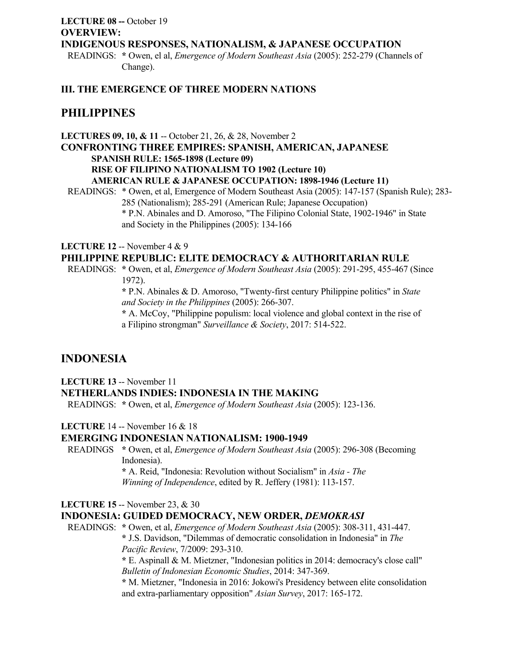# **LECTURE 08 --** October 19 **OVERVIEW: INDIGENOUS RESPONSES, NATIONALISM, & JAPANESE OCCUPATION**

 READINGS: **\*** Owen, el al, *Emergence of Modern Southeast Asia* (2005): 252-279 (Channels of Change).

# **III. THE EMERGENCE OF THREE MODERN NATIONS**

# **PHILIPPINES**

**LECTURES 09, 10, & 11** -- October 21, 26, & 28, November 2 **CONFRONTING THREE EMPIRES: SPANISH, AMERICAN, JAPANESE SPANISH RULE: 1565-1898 (Lecture 09) RISE OF FILIPINO NATIONALISM TO 1902 (Lecture 10) AMERICAN RULE & JAPANESE OCCUPATION: 1898-1946 (Lecture 11)** 

READINGS: \* Owen, et al, Emergence of Modern Southeast Asia (2005): 147-157 (Spanish Rule); 283- 285 (Nationalism); 285-291 (American Rule; Japanese Occupation) \* P.N. Abinales and D. Amoroso, "The Filipino Colonial State, 1902-1946" in State and Society in the Philippines (2005): 134-166

### **LECTURE 12** -- November 4 & 9

# **PHILIPPINE REPUBLIC: ELITE DEMOCRACY & AUTHORITARIAN RULE**

 READINGS: **\*** Owen, et al, *Emergence of Modern Southeast Asia* (2005): 291-295, 455-467 (Since 1972).

> **\*** P.N. Abinales & D. Amoroso, "Twenty-first century Philippine politics" in *State and Society in the Philippines* (2005): 266-307.

> **\*** A. McCoy, "Philippine populism: local violence and global context in the rise of a Filipino strongman" *Surveillance & Society*, 2017: 514-522.

# **INDONESIA**

**LECTURE 13** -- November 11 **NETHERLANDS INDIES: INDONESIA IN THE MAKING**

READINGS: **\*** Owen, et al, *Emergence of Modern Southeast Asia* (2005): 123-136.

**LECTURE** 14 -- November 16 & 18

### **EMERGING INDONESIAN NATIONALISM: 1900-1949**

 READINGS **\*** Owen, et al, *Emergence of Modern Southeast Asia* (2005): 296-308 (Becoming Indonesia).

 **\*** A. Reid, "Indonesia: Revolution without Socialism" in *Asia - The Winning of Independence*, edited by R. Jeffery (1981): 113-157.

## **LECTURE 15** -- November 23, & 30

## **INDONESIA: GUIDED DEMOCRACY, NEW ORDER,** *DEMOKRASI*

 READINGS: **\*** Owen, et al, *Emergence of Modern Southeast Asia* (2005): 308-311, 431-447.  **\*** J.S. Davidson, "Dilemmas of democratic consolidation in Indonesia" in *The Pacific Review*, 7/2009: 293-310.

> **\*** E. Aspinall & M. Mietzner, "Indonesian politics in 2014: democracy's close call"  *Bulletin of Indonesian Economic Studies*, 2014: 347-369.

 **\*** M. Mietzner, "Indonesia in 2016: Jokowi's Presidency between elite consolidation and extra-parliamentary opposition" *Asian Survey*, 2017: 165-172.